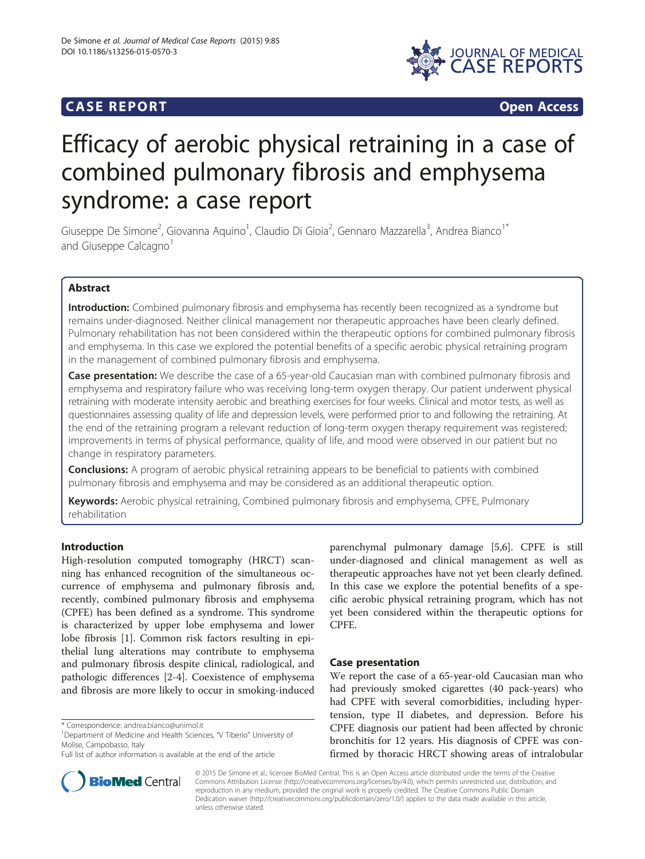## **CASE REPORT CASE REPORT**



# Efficacy of aerobic physical retraining in a case of combined pulmonary fibrosis and emphysema syndrome: a case report

Giuseppe De Simone<sup>2</sup>, Giovanna Aquino<sup>1</sup>, Claudio Di Gioia<sup>2</sup>, Gennaro Mazzarella<sup>3</sup>, Andrea Bianco<sup>1\*</sup> and Giuseppe Calcagno<sup>1</sup>

## Abstract

Introduction: Combined pulmonary fibrosis and emphysema has recently been recognized as a syndrome but remains under-diagnosed. Neither clinical management nor therapeutic approaches have been clearly defined. Pulmonary rehabilitation has not been considered within the therapeutic options for combined pulmonary fibrosis and emphysema. In this case we explored the potential benefits of a specific aerobic physical retraining program in the management of combined pulmonary fibrosis and emphysema.

Case presentation: We describe the case of a 65-year-old Caucasian man with combined pulmonary fibrosis and emphysema and respiratory failure who was receiving long-term oxygen therapy. Our patient underwent physical retraining with moderate intensity aerobic and breathing exercises for four weeks. Clinical and motor tests, as well as questionnaires assessing quality of life and depression levels, were performed prior to and following the retraining. At the end of the retraining program a relevant reduction of long-term oxygen therapy requirement was registered; improvements in terms of physical performance, quality of life, and mood were observed in our patient but no change in respiratory parameters.

**Conclusions:** A program of aerobic physical retraining appears to be beneficial to patients with combined pulmonary fibrosis and emphysema and may be considered as an additional therapeutic option.

Keywords: Aerobic physical retraining, Combined pulmonary fibrosis and emphysema, CPFE, Pulmonary rehabilitation

## Introduction

High-resolution computed tomography (HRCT) scanning has enhanced recognition of the simultaneous occurrence of emphysema and pulmonary fibrosis and, recently, combined pulmonary fibrosis and emphysema (CPFE) has been defined as a syndrome. This syndrome is characterized by upper lobe emphysema and lower lobe fibrosis [[1\]](#page-3-0). Common risk factors resulting in epithelial lung alterations may contribute to emphysema and pulmonary fibrosis despite clinical, radiological, and pathologic differences [\[2](#page-3-0)-[4\]](#page-3-0). Coexistence of emphysema and fibrosis are more likely to occur in smoking-induced



## Case presentation

We report the case of a 65-year-old Caucasian man who had previously smoked cigarettes (40 pack-years) who had CPFE with several comorbidities, including hypertension, type II diabetes, and depression. Before his CPFE diagnosis our patient had been affected by chronic bronchitis for 12 years. His diagnosis of CPFE was confirmed by thoracic HRCT showing areas of intralobular



© 2015 De Simone et al.; licensee BioMed Central. This is an Open Access article distributed under the terms of the Creative Commons Attribution License [\(http://creativecommons.org/licenses/by/4.0\)](http://creativecommons.org/licenses/by/4.0), which permits unrestricted use, distribution, and reproduction in any medium, provided the original work is properly credited. The Creative Commons Public Domain Dedication waiver [\(http://creativecommons.org/publicdomain/zero/1.0/](http://creativecommons.org/publicdomain/zero/1.0/)) applies to the data made available in this article, unless otherwise stated.

<sup>\*</sup> Correspondence: [andrea.bianco@unimol.it](mailto:andrea.bianco@unimol.it) <sup>1</sup>

<sup>&</sup>lt;sup>1</sup>Department of Medicine and Health Sciences, "V Tiberio" University of Molise, Campobasso, Italy

Full list of author information is available at the end of the article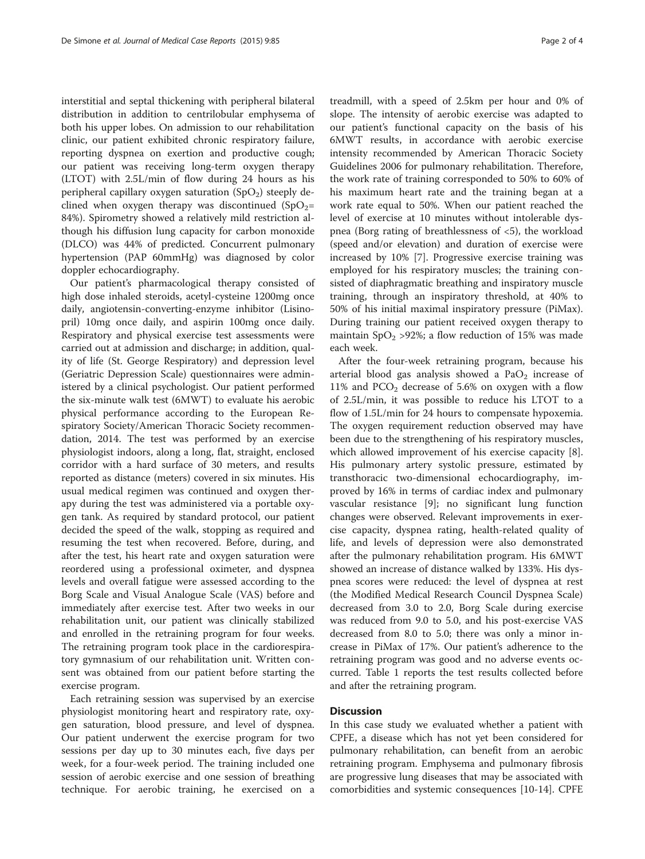interstitial and septal thickening with peripheral bilateral distribution in addition to centrilobular emphysema of both his upper lobes. On admission to our rehabilitation clinic, our patient exhibited chronic respiratory failure, reporting dyspnea on exertion and productive cough; our patient was receiving long-term oxygen therapy (LTOT) with 2.5L/min of flow during 24 hours as his peripheral capillary oxygen saturation  $(SpO<sub>2</sub>)$  steeply declined when oxygen therapy was discontinued  $(SpO<sub>2</sub>=$ 84%). Spirometry showed a relatively mild restriction although his diffusion lung capacity for carbon monoxide (DLCO) was 44% of predicted. Concurrent pulmonary hypertension (PAP 60mmHg) was diagnosed by color doppler echocardiography.

Our patient's pharmacological therapy consisted of high dose inhaled steroids, acetyl-cysteine 1200mg once daily, angiotensin-converting-enzyme inhibitor (Lisinopril) 10mg once daily, and aspirin 100mg once daily. Respiratory and physical exercise test assessments were carried out at admission and discharge; in addition, quality of life (St. George Respiratory) and depression level (Geriatric Depression Scale) questionnaires were administered by a clinical psychologist. Our patient performed the six-minute walk test (6MWT) to evaluate his aerobic physical performance according to the European Respiratory Society/American Thoracic Society recommendation, 2014. The test was performed by an exercise physiologist indoors, along a long, flat, straight, enclosed corridor with a hard surface of 30 meters, and results reported as distance (meters) covered in six minutes. His usual medical regimen was continued and oxygen therapy during the test was administered via a portable oxygen tank. As required by standard protocol, our patient decided the speed of the walk, stopping as required and resuming the test when recovered. Before, during, and after the test, his heart rate and oxygen saturation were reordered using a professional oximeter, and dyspnea levels and overall fatigue were assessed according to the Borg Scale and Visual Analogue Scale (VAS) before and immediately after exercise test. After two weeks in our rehabilitation unit, our patient was clinically stabilized and enrolled in the retraining program for four weeks. The retraining program took place in the cardiorespiratory gymnasium of our rehabilitation unit. Written consent was obtained from our patient before starting the exercise program.

Each retraining session was supervised by an exercise physiologist monitoring heart and respiratory rate, oxygen saturation, blood pressure, and level of dyspnea. Our patient underwent the exercise program for two sessions per day up to 30 minutes each, five days per week, for a four-week period. The training included one session of aerobic exercise and one session of breathing technique. For aerobic training, he exercised on a

treadmill, with a speed of 2.5km per hour and 0% of slope. The intensity of aerobic exercise was adapted to our patient's functional capacity on the basis of his 6MWT results, in accordance with aerobic exercise intensity recommended by American Thoracic Society Guidelines 2006 for pulmonary rehabilitation. Therefore, the work rate of training corresponded to 50% to 60% of his maximum heart rate and the training began at a work rate equal to 50%. When our patient reached the level of exercise at 10 minutes without intolerable dyspnea (Borg rating of breathlessness of  $\langle 5 \rangle$ , the workload (speed and/or elevation) and duration of exercise were increased by 10% [\[7](#page-3-0)]. Progressive exercise training was employed for his respiratory muscles; the training consisted of diaphragmatic breathing and inspiratory muscle training, through an inspiratory threshold, at 40% to 50% of his initial maximal inspiratory pressure (PiMax). During training our patient received oxygen therapy to maintain  $SpO<sub>2</sub> > 92$ %; a flow reduction of 15% was made each week.

After the four-week retraining program, because his arterial blood gas analysis showed a  $PaO<sub>2</sub>$  increase of 11% and  $PCO<sub>2</sub>$  decrease of 5.6% on oxygen with a flow of 2.5L/min, it was possible to reduce his LTOT to a flow of 1.5L/min for 24 hours to compensate hypoxemia. The oxygen requirement reduction observed may have been due to the strengthening of his respiratory muscles, which allowed improvement of his exercise capacity [\[8](#page-3-0)]. His pulmonary artery systolic pressure, estimated by transthoracic two-dimensional echocardiography, improved by 16% in terms of cardiac index and pulmonary vascular resistance [\[9](#page-3-0)]; no significant lung function changes were observed. Relevant improvements in exercise capacity, dyspnea rating, health-related quality of life, and levels of depression were also demonstrated after the pulmonary rehabilitation program. His 6MWT showed an increase of distance walked by 133%. His dyspnea scores were reduced: the level of dyspnea at rest (the Modified Medical Research Council Dyspnea Scale) decreased from 3.0 to 2.0, Borg Scale during exercise was reduced from 9.0 to 5.0, and his post-exercise VAS decreased from 8.0 to 5.0; there was only a minor increase in PiMax of 17%. Our patient's adherence to the retraining program was good and no adverse events occurred. Table [1](#page-2-0) reports the test results collected before and after the retraining program.

## **Discussion**

In this case study we evaluated whether a patient with CPFE, a disease which has not yet been considered for pulmonary rehabilitation, can benefit from an aerobic retraining program. Emphysema and pulmonary fibrosis are progressive lung diseases that may be associated with comorbidities and systemic consequences [[10-14\]](#page-3-0). CPFE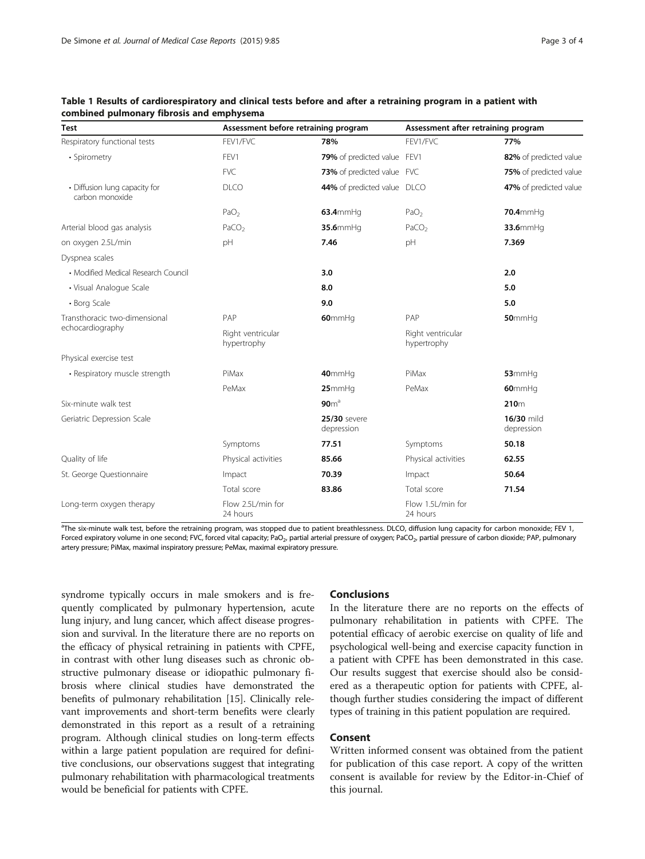| Page 3 of |  |
|-----------|--|
|-----------|--|

| <b>Test</b><br>Respiratory functional tests       | Assessment before retraining program |                             | Assessment after retraining program |                          |
|---------------------------------------------------|--------------------------------------|-----------------------------|-------------------------------------|--------------------------|
|                                                   | FEV1/FVC                             | 78%                         | FEV1/FVC                            | 77%                      |
| • Spirometry                                      | FEV1                                 | 79% of predicted value FEV1 |                                     | 82% of predicted value   |
|                                                   | <b>FVC</b>                           | 73% of predicted value FVC  |                                     | 75% of predicted value   |
| • Diffusion lung capacity for<br>carbon monoxide  | <b>DLCO</b>                          | 44% of predicted value DLCO |                                     | 47% of predicted value   |
|                                                   | PaO <sub>2</sub>                     | $63.4$ mmHq                 | PaO <sub>2</sub>                    | 70.4mmHq                 |
| Arterial blood gas analysis                       | PaCO <sub>2</sub>                    | 35.6mmHq                    | PaCO <sub>2</sub>                   | 33.6mmHq                 |
| on oxygen 2.5L/min                                | pH                                   | 7.46                        | pH                                  | 7.369                    |
| Dyspnea scales                                    |                                      |                             |                                     |                          |
| • Modified Medical Research Council               |                                      | 3.0                         |                                     | 2.0                      |
| · Visual Analogue Scale                           |                                      | 8.0                         |                                     | 5.0                      |
| • Borg Scale                                      |                                      | 9.0                         |                                     | 5.0                      |
| Transthoracic two-dimensional<br>echocardiography | PAP                                  | $60$ mm $Hq$                | PAP                                 | 50mmHq                   |
|                                                   | Right ventricular<br>hypertrophy     |                             | Right ventricular<br>hypertrophy    |                          |
| Physical exercise test                            |                                      |                             |                                     |                          |
| • Respiratory muscle strength                     | PiMax                                | 40mmHq                      | PiMax                               | 53mmHq                   |
|                                                   | PeMax                                | $25$ mm $Hq$                | PeMax                               | 60mmHq                   |
| Six-minute walk test                              |                                      | 90 <sup>0</sup>             |                                     | 210 <sub>m</sub>         |
| Geriatric Depression Scale                        |                                      | 25/30 severe<br>depression  |                                     | 16/30 mild<br>depression |
|                                                   | Symptoms                             | 77.51                       | Symptoms                            | 50.18                    |
| Quality of life                                   | Physical activities                  | 85.66                       | Physical activities                 | 62.55                    |
| St. George Questionnaire                          | Impact                               | 70.39                       | Impact                              | 50.64                    |
|                                                   | Total score                          | 83.86                       | Total score                         | 71.54                    |
| Long-term oxygen therapy                          | Flow 2.5L/min for<br>24 hours        |                             | Flow 1.5L/min for<br>24 hours       |                          |

<span id="page-2-0"></span>Table 1 Results of cardiorespiratory and clinical tests before and after a retraining program in a patient with combined pulmonary fibrosis and emphysema

<sup>a</sup>The six-minute walk test, before the retraining program, was stopped due to patient breathlessness. DLCO, diffusion lung capacity for carbon monoxide; FEV 1, Forced expiratory volume in one second; FVC, forced vital capacity; PaO<sub>2</sub>, partial arterial pressure of oxygen; PaCO<sub>2</sub>, partial pressure of carbon dioxide; PAP, pulmonary artery pressure; PiMax, maximal inspiratory pressure; PeMax, maximal expiratory pressure.

syndrome typically occurs in male smokers and is frequently complicated by pulmonary hypertension, acute lung injury, and lung cancer, which affect disease progression and survival. In the literature there are no reports on the efficacy of physical retraining in patients with CPFE, in contrast with other lung diseases such as chronic obstructive pulmonary disease or idiopathic pulmonary fibrosis where clinical studies have demonstrated the benefits of pulmonary rehabilitation [\[15\]](#page-3-0). Clinically relevant improvements and short-term benefits were clearly demonstrated in this report as a result of a retraining program. Although clinical studies on long-term effects within a large patient population are required for definitive conclusions, our observations suggest that integrating pulmonary rehabilitation with pharmacological treatments would be beneficial for patients with CPFE.

## Conclusions

In the literature there are no reports on the effects of pulmonary rehabilitation in patients with CPFE. The potential efficacy of aerobic exercise on quality of life and psychological well-being and exercise capacity function in a patient with CPFE has been demonstrated in this case. Our results suggest that exercise should also be considered as a therapeutic option for patients with CPFE, although further studies considering the impact of different types of training in this patient population are required.

## Consent

Written informed consent was obtained from the patient for publication of this case report. A copy of the written consent is available for review by the Editor-in-Chief of this journal.